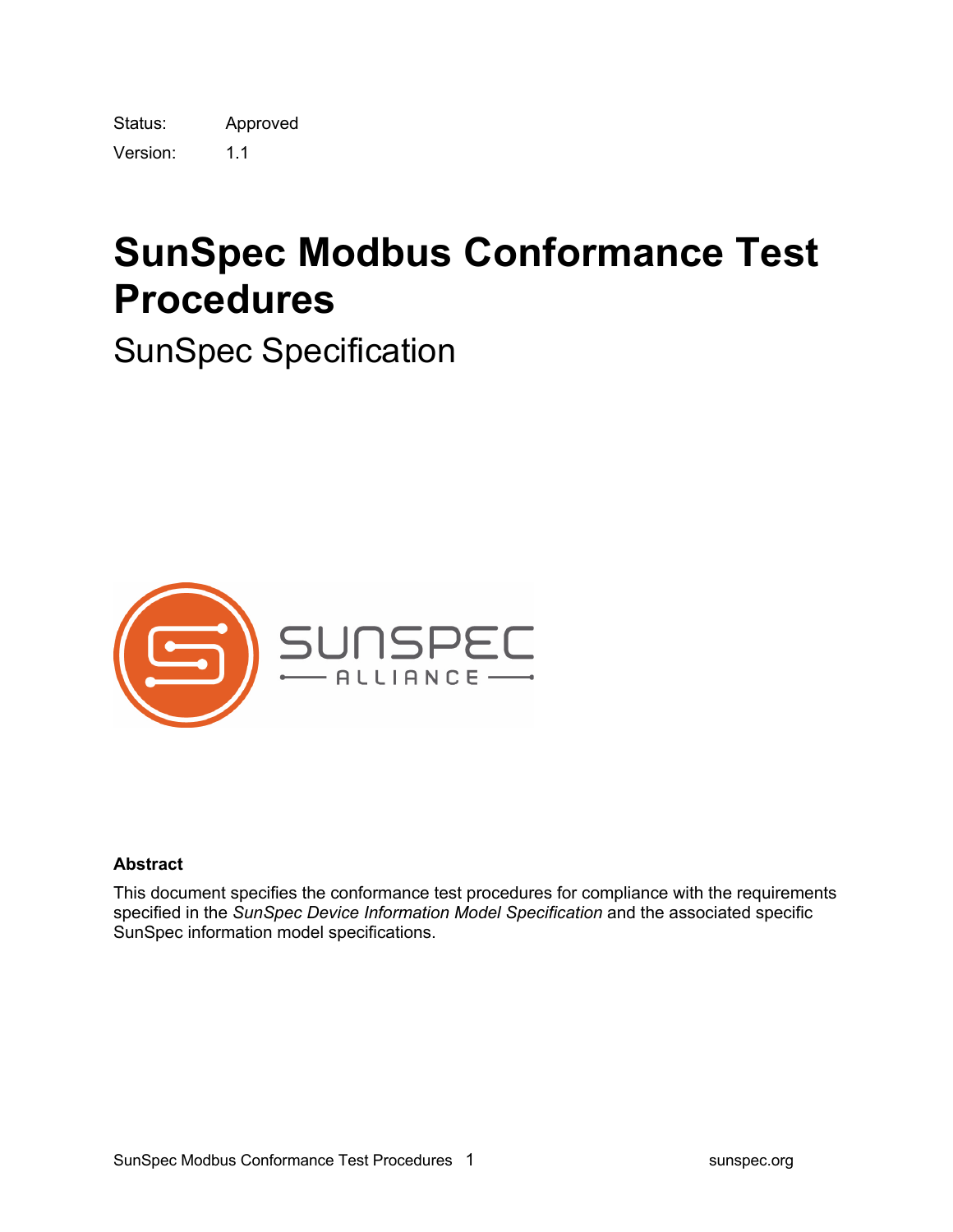Status: Approved Version: 1.1

# **SunSpec Modbus Conformance Test Procedures**

SunSpec Specification



#### **Abstract**

This document specifies the conformance test procedures for compliance with the requirements specified in the *SunSpec Device Information Model Specification* and the associated specific SunSpec information model specifications.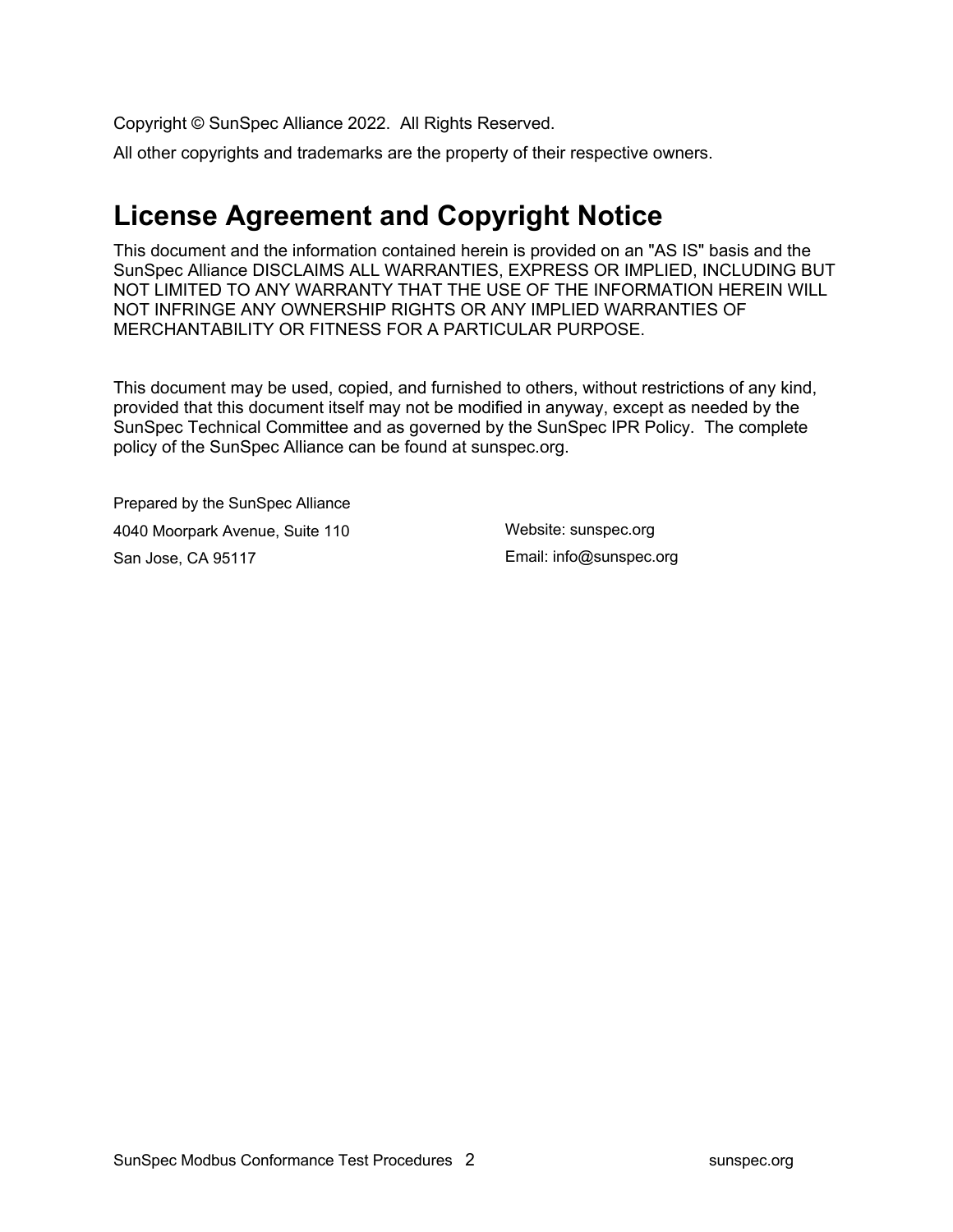Copyright © SunSpec Alliance 2022. All Rights Reserved.

All other copyrights and trademarks are the property of their respective owners.

### **License Agreement and Copyright Notice**

This document and the information contained herein is provided on an "AS IS" basis and the SunSpec Alliance DISCLAIMS ALL WARRANTIES, EXPRESS OR IMPLIED, INCLUDING BUT NOT LIMITED TO ANY WARRANTY THAT THE USE OF THE INFORMATION HEREIN WILL NOT INFRINGE ANY OWNERSHIP RIGHTS OR ANY IMPLIED WARRANTIES OF MERCHANTABILITY OR FITNESS FOR A PARTICULAR PURPOSE.

This document may be used, copied, and furnished to others, without restrictions of any kind, provided that this document itself may not be modified in anyway, except as needed by the SunSpec Technical Committee and as governed by the SunSpec IPR Policy. The complete policy of the SunSpec Alliance can be found at sunspec.org.

Prepared by the SunSpec Alliance 4040 Moorpark Avenue, Suite 110 San Jose, CA 95117

Website: sunspec.org Email: info@sunspec.org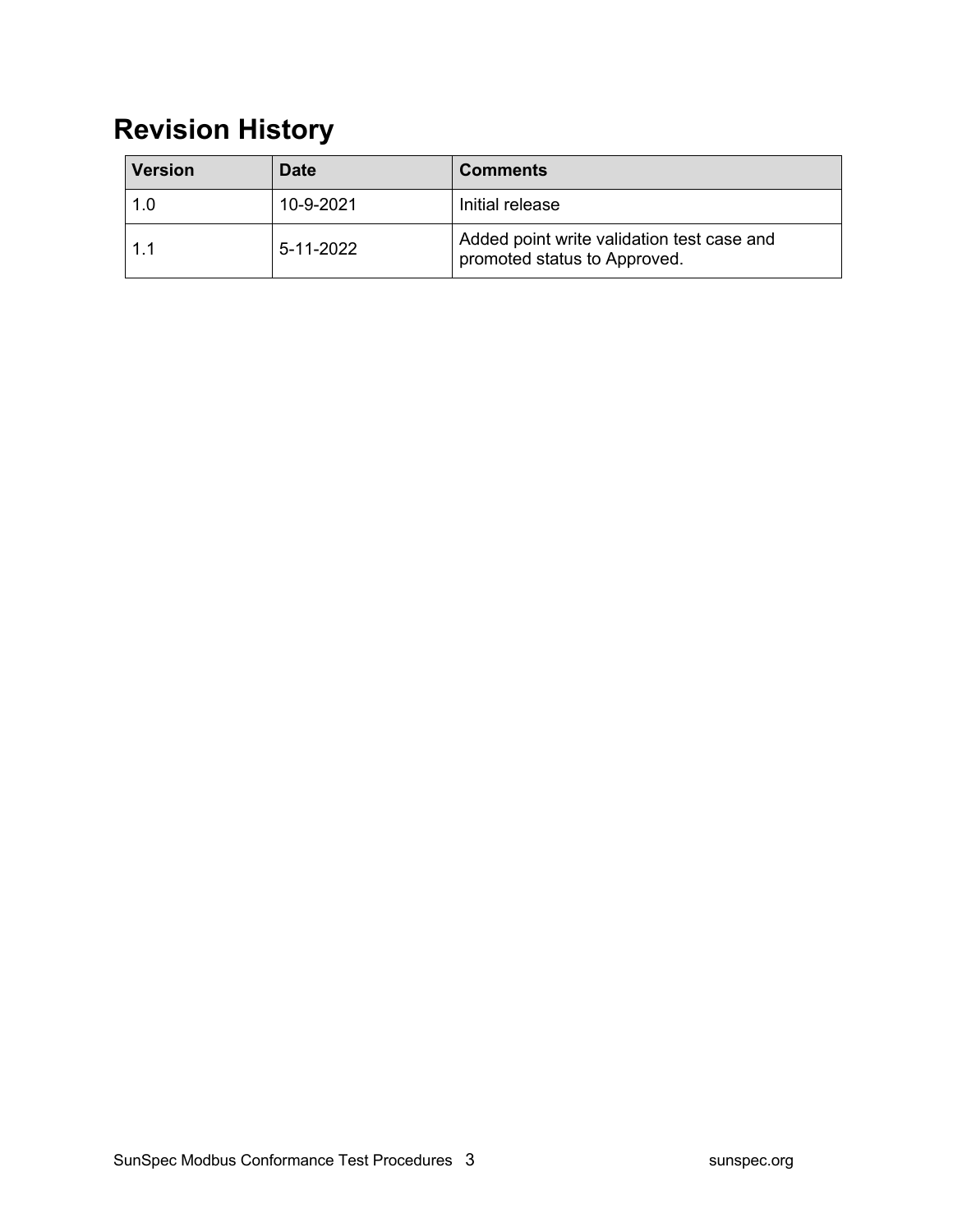## **Revision History**

| <b>Version</b> | <b>Date</b> | <b>Comments</b>                                                            |
|----------------|-------------|----------------------------------------------------------------------------|
| 1.0            | 10-9-2021   | Initial release                                                            |
| 1.1            | 5-11-2022   | Added point write validation test case and<br>promoted status to Approved. |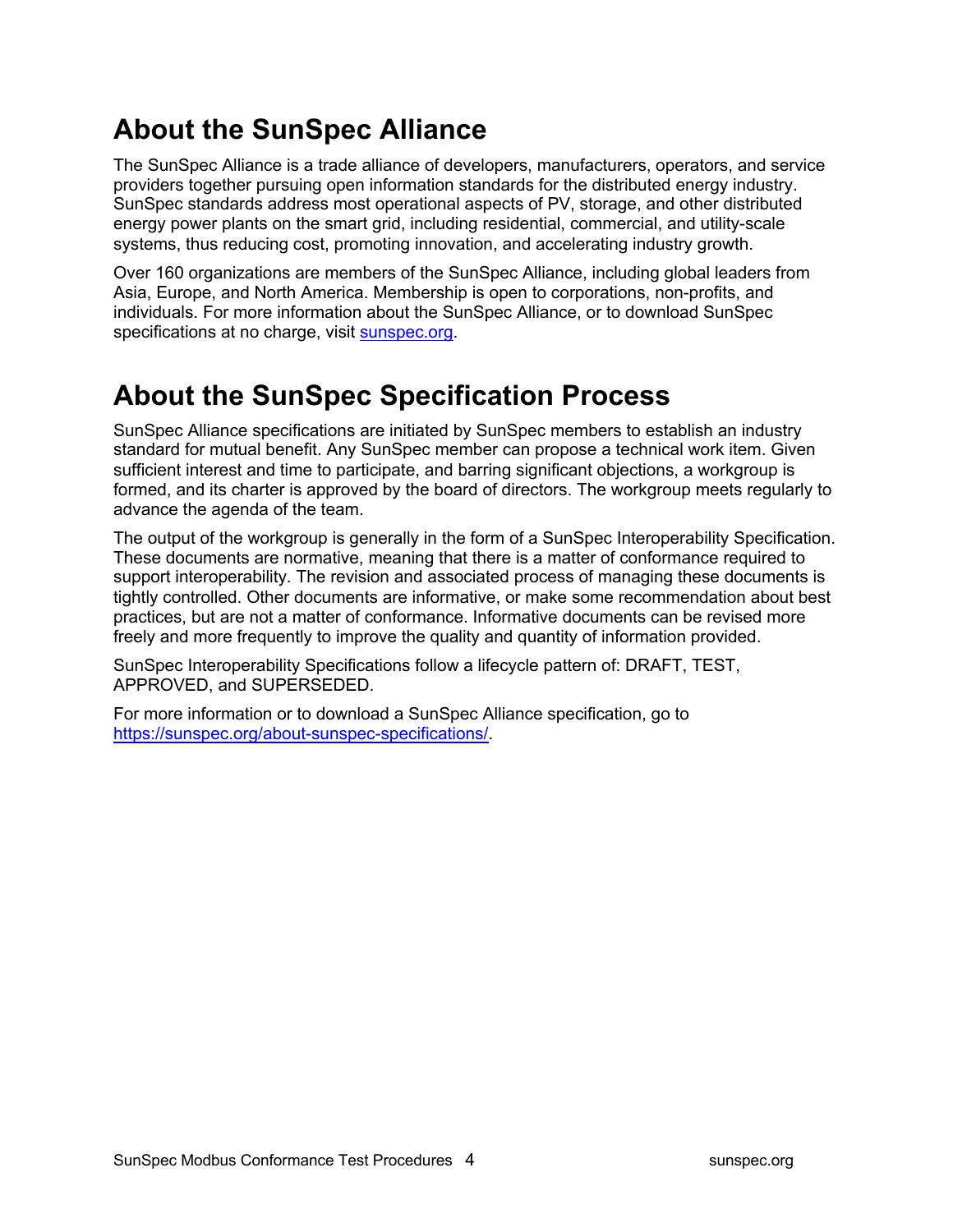## **About the SunSpec Alliance**

The SunSpec Alliance is a trade alliance of developers, manufacturers, operators, and service providers together pursuing open information standards for the distributed energy industry. SunSpec standards address most operational aspects of PV, storage, and other distributed energy power plants on the smart grid, including residential, commercial, and utility-scale systems, thus reducing cost, promoting innovation, and accelerating industry growth.

Over 160 organizations are members of the SunSpec Alliance, including global leaders from Asia, Europe, and North America. Membership is open to corporations, non-profits, and individuals. For more information about the SunSpec Alliance, or to download SunSpec specifications at no charge, visit sunspec.org.

### **About the SunSpec Specification Process**

SunSpec Alliance specifications are initiated by SunSpec members to establish an industry standard for mutual benefit. Any SunSpec member can propose a technical work item. Given sufficient interest and time to participate, and barring significant objections, a workgroup is formed, and its charter is approved by the board of directors. The workgroup meets regularly to advance the agenda of the team.

The output of the workgroup is generally in the form of a SunSpec Interoperability Specification. These documents are normative, meaning that there is a matter of conformance required to support interoperability. The revision and associated process of managing these documents is tightly controlled. Other documents are informative, or make some recommendation about best practices, but are not a matter of conformance. Informative documents can be revised more freely and more frequently to improve the quality and quantity of information provided.

SunSpec Interoperability Specifications follow a lifecycle pattern of: DRAFT, TEST, APPROVED, and SUPERSEDED.

For more information or to download a SunSpec Alliance specification, go to https://sunspec.org/about-sunspec-specifications/.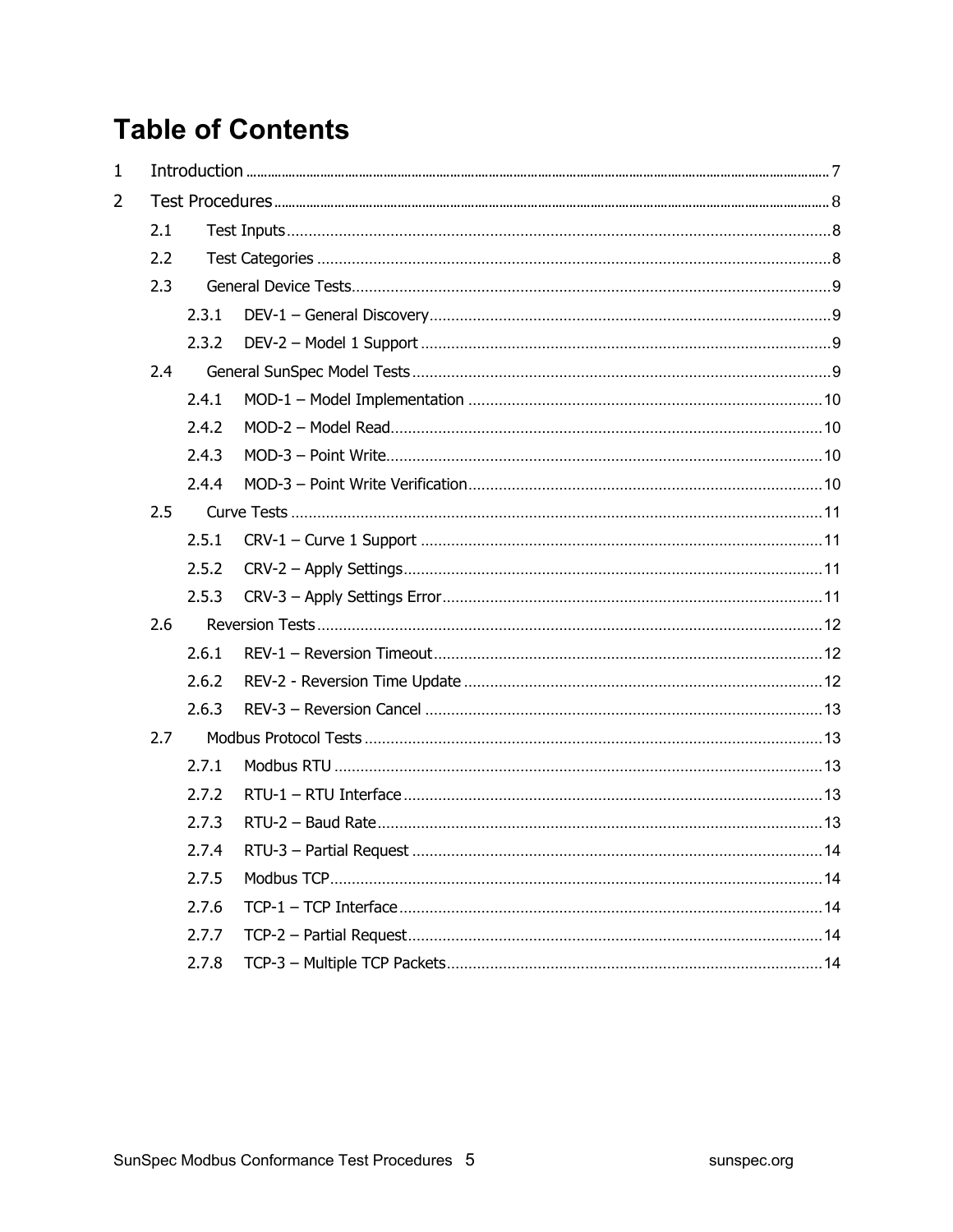## **Table of Contents**

| $\mathbf{1}$   |     |       |  |
|----------------|-----|-------|--|
| $\overline{2}$ |     |       |  |
|                | 2.1 |       |  |
|                | 2.2 |       |  |
|                | 2.3 |       |  |
|                |     | 2.3.1 |  |
|                |     | 2.3.2 |  |
|                | 2.4 |       |  |
|                |     | 2.4.1 |  |
|                |     | 2.4.2 |  |
|                |     | 2.4.3 |  |
|                |     | 2.4.4 |  |
|                | 2.5 |       |  |
|                |     | 2.5.1 |  |
|                |     | 2.5.2 |  |
|                |     | 2.5.3 |  |
|                | 2.6 |       |  |
|                |     | 2.6.1 |  |
|                |     | 2.6.2 |  |
|                |     | 2.6.3 |  |
|                | 2.7 |       |  |
|                |     | 2.7.1 |  |
|                |     | 2.7.2 |  |
|                |     | 2.7.3 |  |
|                |     | 2.7.4 |  |
|                |     | 2.7.5 |  |
|                |     | 2.7.6 |  |
|                |     | 2.7.7 |  |
|                |     | 2.7.8 |  |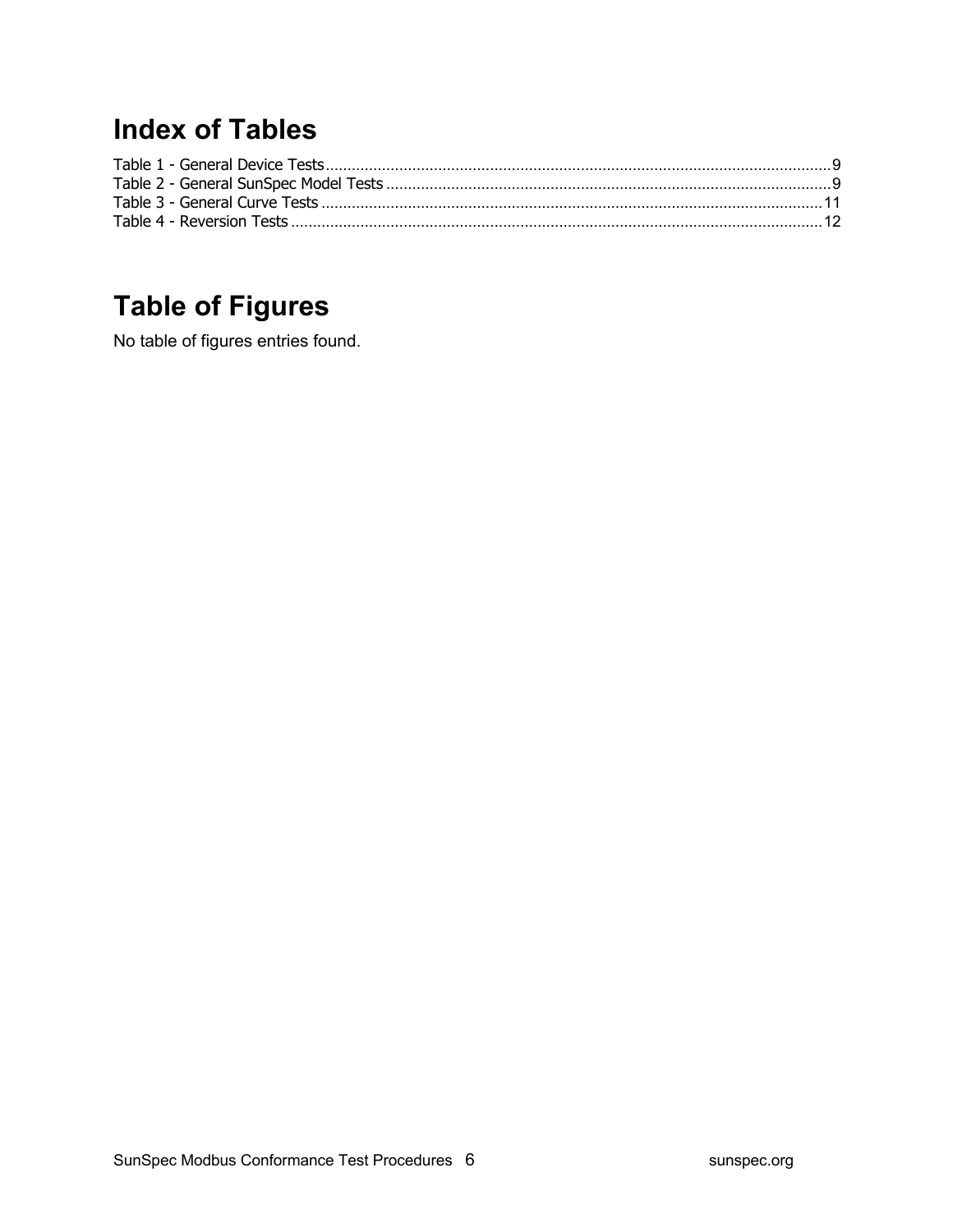## **Index of Tables**

## **Table of Figures**

No table of figures entries found.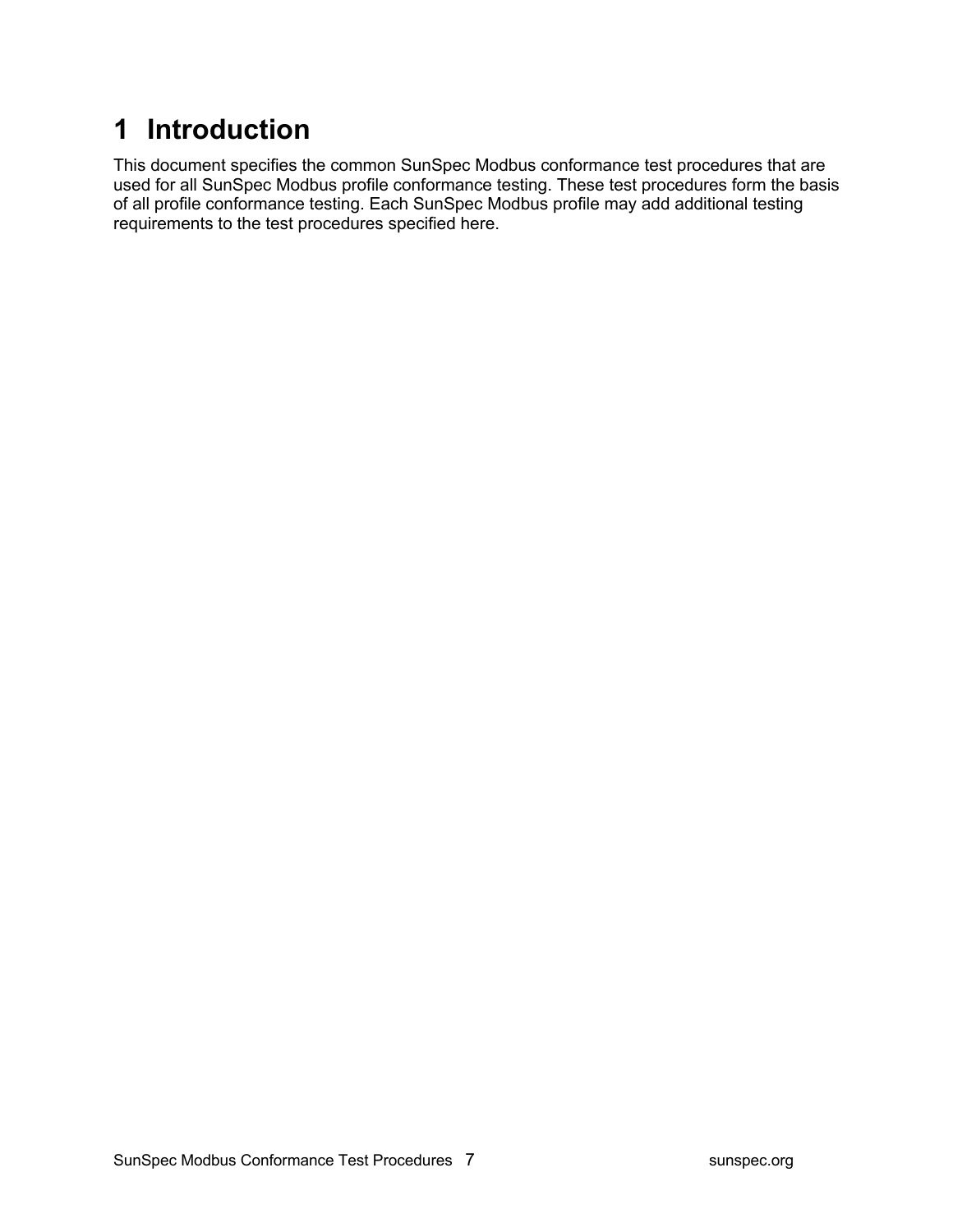## **1 Introduction**

This document specifies the common SunSpec Modbus conformance test procedures that are used for all SunSpec Modbus profile conformance testing. These test procedures form the basis of all profile conformance testing. Each SunSpec Modbus profile may add additional testing requirements to the test procedures specified here.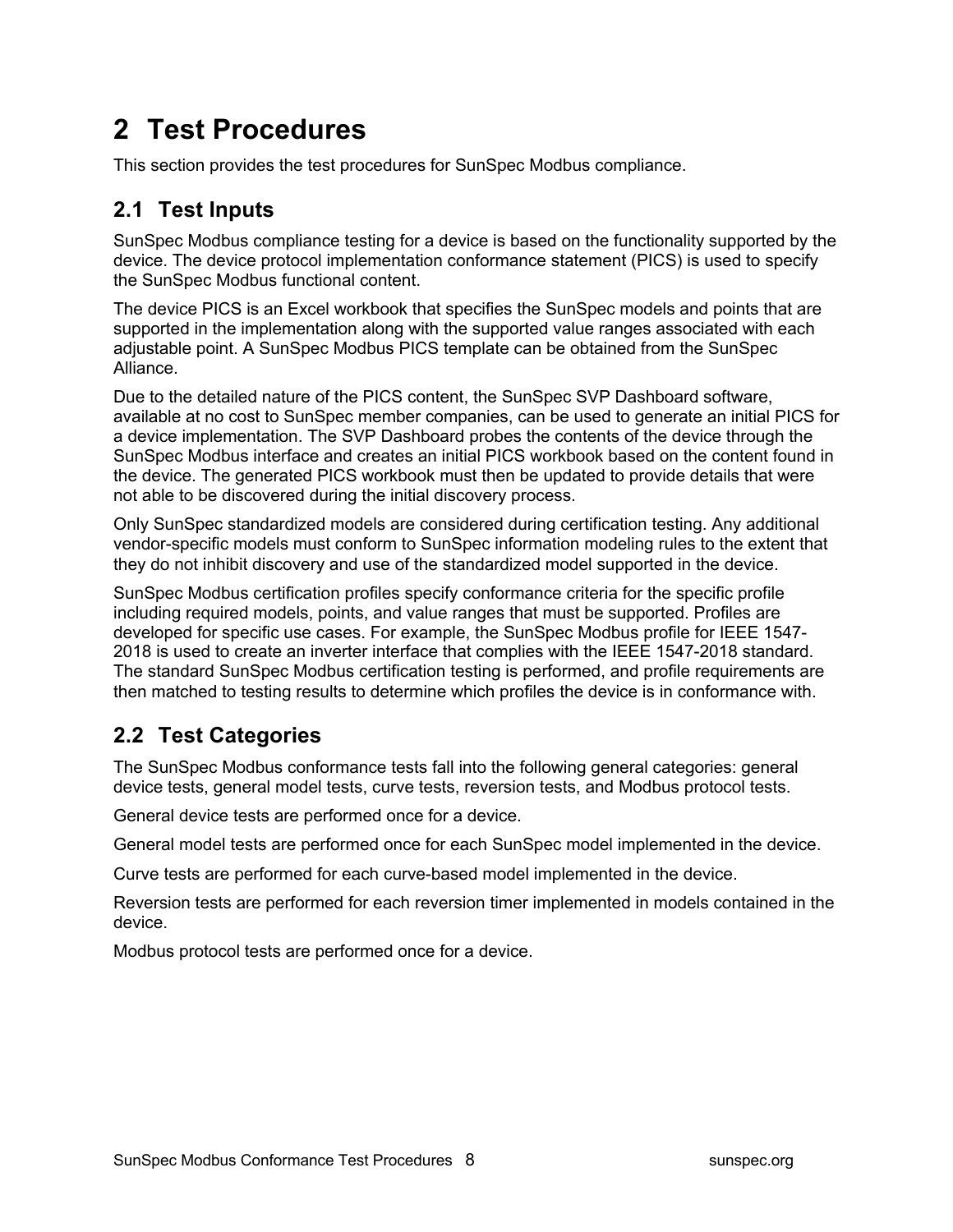## **2 Test Procedures**

This section provides the test procedures for SunSpec Modbus compliance.

### **2.1 Test Inputs**

SunSpec Modbus compliance testing for a device is based on the functionality supported by the device. The device protocol implementation conformance statement (PICS) is used to specify the SunSpec Modbus functional content.

The device PICS is an Excel workbook that specifies the SunSpec models and points that are supported in the implementation along with the supported value ranges associated with each adjustable point. A SunSpec Modbus PICS template can be obtained from the SunSpec Alliance.

Due to the detailed nature of the PICS content, the SunSpec SVP Dashboard software, available at no cost to SunSpec member companies, can be used to generate an initial PICS for a device implementation. The SVP Dashboard probes the contents of the device through the SunSpec Modbus interface and creates an initial PICS workbook based on the content found in the device. The generated PICS workbook must then be updated to provide details that were not able to be discovered during the initial discovery process.

Only SunSpec standardized models are considered during certification testing. Any additional vendor-specific models must conform to SunSpec information modeling rules to the extent that they do not inhibit discovery and use of the standardized model supported in the device.

SunSpec Modbus certification profiles specify conformance criteria for the specific profile including required models, points, and value ranges that must be supported. Profiles are developed for specific use cases. For example, the SunSpec Modbus profile for IEEE 1547- 2018 is used to create an inverter interface that complies with the IEEE 1547-2018 standard. The standard SunSpec Modbus certification testing is performed, and profile requirements are then matched to testing results to determine which profiles the device is in conformance with.

### **2.2 Test Categories**

The SunSpec Modbus conformance tests fall into the following general categories: general device tests, general model tests, curve tests, reversion tests, and Modbus protocol tests.

General device tests are performed once for a device.

General model tests are performed once for each SunSpec model implemented in the device.

Curve tests are performed for each curve-based model implemented in the device.

Reversion tests are performed for each reversion timer implemented in models contained in the device.

Modbus protocol tests are performed once for a device.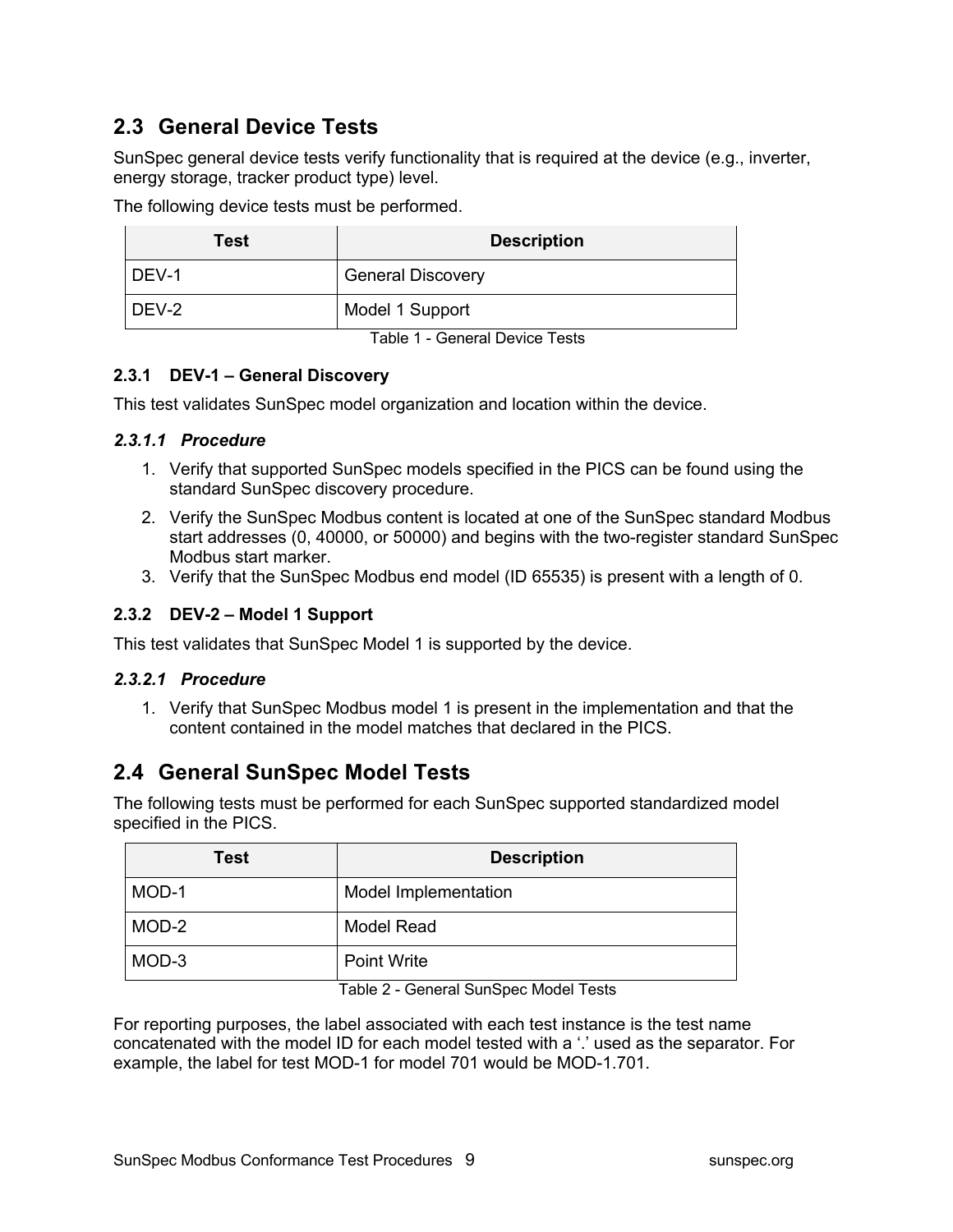### **2.3 General Device Tests**

SunSpec general device tests verify functionality that is required at the device (e.g., inverter, energy storage, tracker product type) level.

The following device tests must be performed.

| Test  | <b>Description</b>       |
|-------|--------------------------|
| DEV-1 | <b>General Discovery</b> |
| DEV-2 | Model 1 Support          |

Table 1 - General Device Tests

#### **2.3.1 DEV-1 – General Discovery**

This test validates SunSpec model organization and location within the device.

#### *2.3.1.1 Procedure*

- 1. Verify that supported SunSpec models specified in the PICS can be found using the standard SunSpec discovery procedure.
- 2. Verify the SunSpec Modbus content is located at one of the SunSpec standard Modbus start addresses (0, 40000, or 50000) and begins with the two-register standard SunSpec Modbus start marker.
- 3. Verify that the SunSpec Modbus end model (ID 65535) is present with a length of 0.

#### **2.3.2 DEV-2 – Model 1 Support**

This test validates that SunSpec Model 1 is supported by the device.

#### *2.3.2.1 Procedure*

1. Verify that SunSpec Modbus model 1 is present in the implementation and that the content contained in the model matches that declared in the PICS.

### **2.4 General SunSpec Model Tests**

The following tests must be performed for each SunSpec supported standardized model specified in the PICS.

| <b>Test</b> | <b>Description</b>   |
|-------------|----------------------|
| MOD-1       | Model Implementation |
| MOD-2       | Model Read           |
| MOD-3       | <b>Point Write</b>   |

Table 2 - General SunSpec Model Tests

For reporting purposes, the label associated with each test instance is the test name concatenated with the model ID for each model tested with a '.' used as the separator. For example, the label for test MOD-1 for model 701 would be MOD-1.701.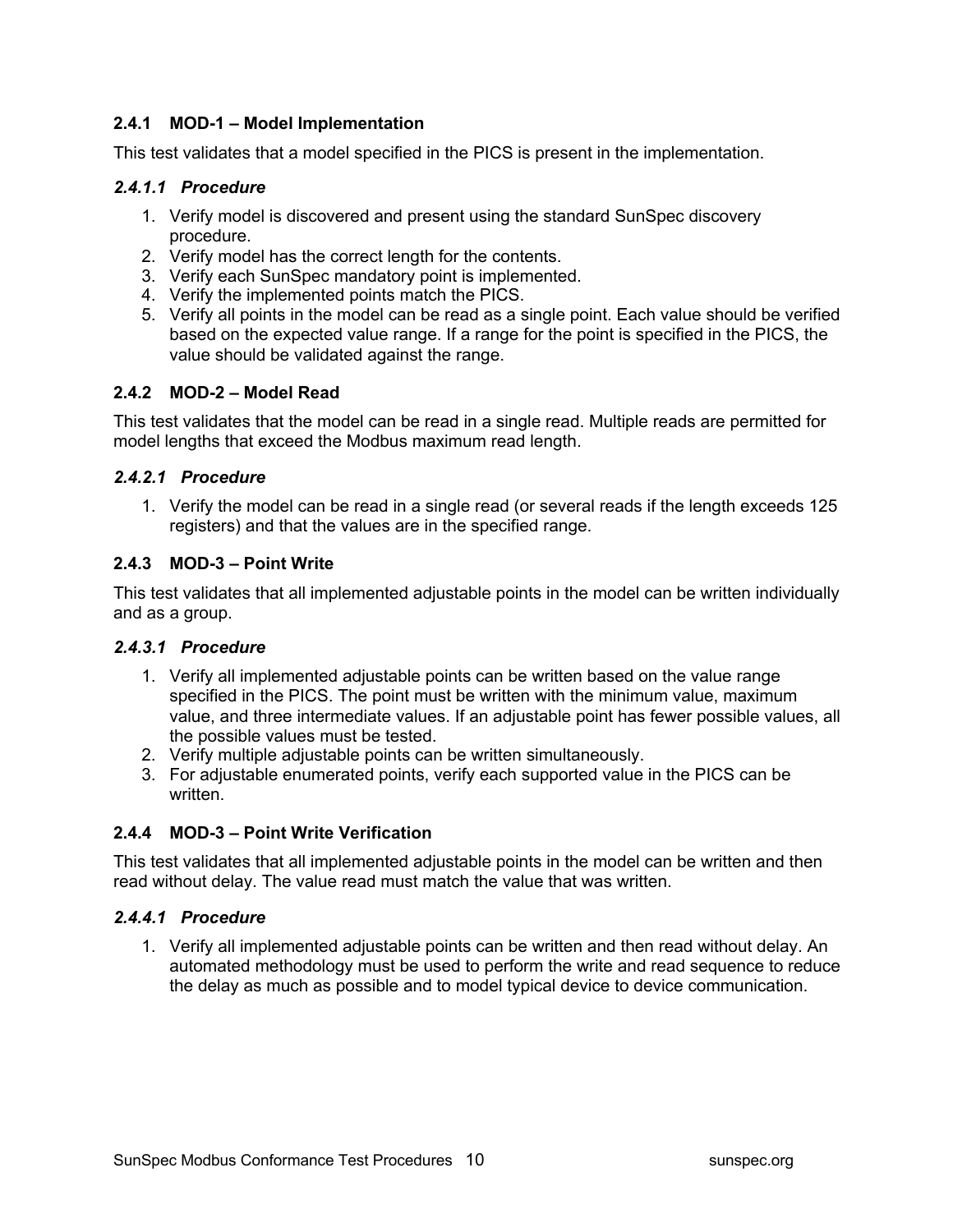#### **2.4.1 MOD-1 – Model Implementation**

This test validates that a model specified in the PICS is present in the implementation.

#### *2.4.1.1 Procedure*

- 1. Verify model is discovered and present using the standard SunSpec discovery procedure.
- 2. Verify model has the correct length for the contents.
- 3. Verify each SunSpec mandatory point is implemented.
- 4. Verify the implemented points match the PICS.
- 5. Verify all points in the model can be read as a single point. Each value should be verified based on the expected value range. If a range for the point is specified in the PICS, the value should be validated against the range.

#### **2.4.2 MOD-2 – Model Read**

This test validates that the model can be read in a single read. Multiple reads are permitted for model lengths that exceed the Modbus maximum read length.

#### *2.4.2.1 Procedure*

1. Verify the model can be read in a single read (or several reads if the length exceeds 125 registers) and that the values are in the specified range.

#### **2.4.3 MOD-3 – Point Write**

This test validates that all implemented adjustable points in the model can be written individually and as a group.

#### *2.4.3.1 Procedure*

- 1. Verify all implemented adjustable points can be written based on the value range specified in the PICS. The point must be written with the minimum value, maximum value, and three intermediate values. If an adjustable point has fewer possible values, all the possible values must be tested.
- 2. Verify multiple adjustable points can be written simultaneously.
- 3. For adjustable enumerated points, verify each supported value in the PICS can be written.

#### **2.4.4 MOD-3 – Point Write Verification**

This test validates that all implemented adjustable points in the model can be written and then read without delay. The value read must match the value that was written.

#### *2.4.4.1 Procedure*

1. Verify all implemented adjustable points can be written and then read without delay. An automated methodology must be used to perform the write and read sequence to reduce the delay as much as possible and to model typical device to device communication.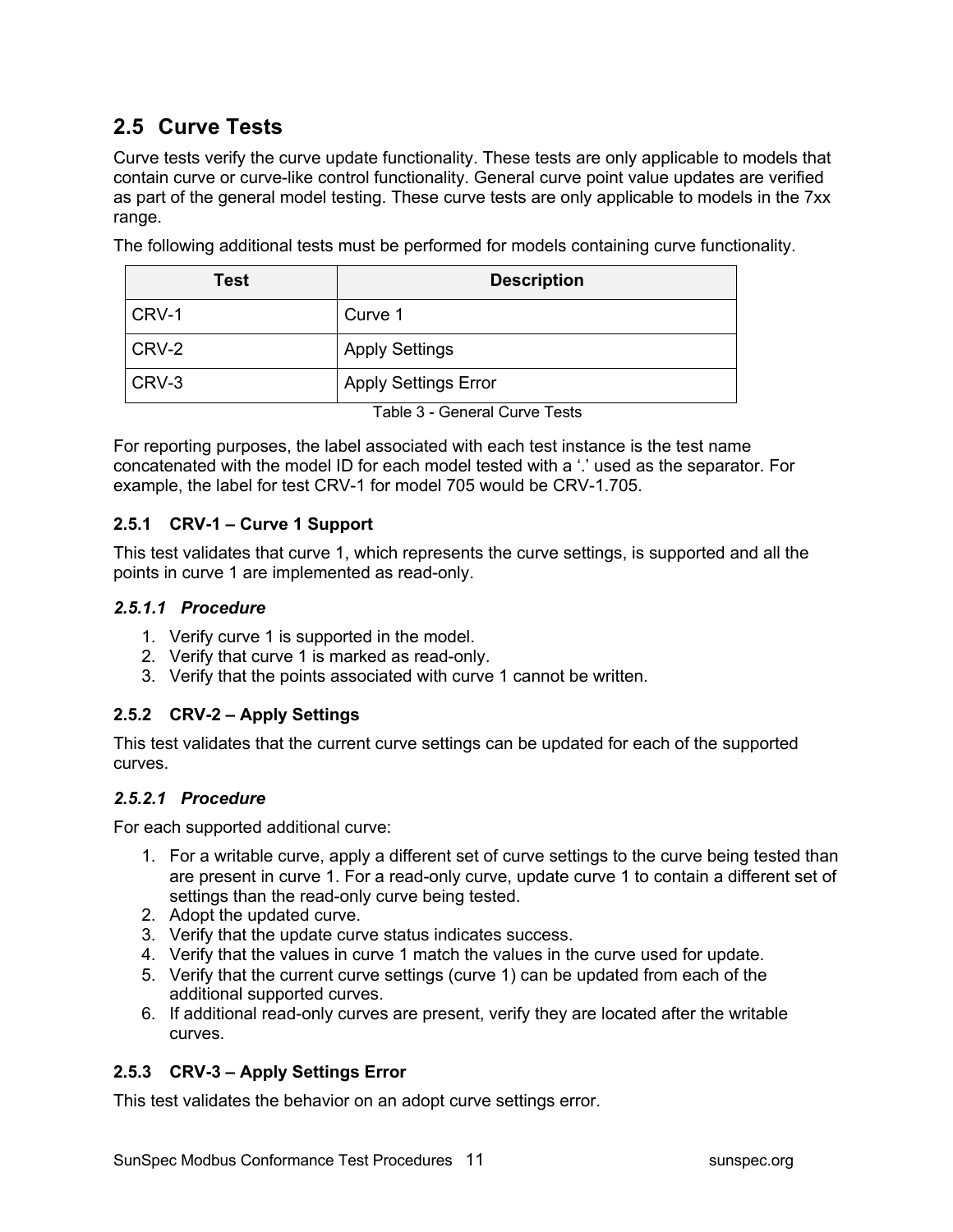### **2.5 Curve Tests**

Curve tests verify the curve update functionality. These tests are only applicable to models that contain curve or curve-like control functionality. General curve point value updates are verified as part of the general model testing. These curve tests are only applicable to models in the 7xx range.

The following additional tests must be performed for models containing curve functionality.

| Test  | <b>Description</b>          |
|-------|-----------------------------|
| CRV-1 | Curve 1                     |
| CRV-2 | <b>Apply Settings</b>       |
| CRV-3 | <b>Apply Settings Error</b> |

Table 3 - General Curve Tests

For reporting purposes, the label associated with each test instance is the test name concatenated with the model ID for each model tested with a '.' used as the separator. For example, the label for test CRV-1 for model 705 would be CRV-1.705.

#### **2.5.1 CRV-1 – Curve 1 Support**

This test validates that curve 1, which represents the curve settings, is supported and all the points in curve 1 are implemented as read-only.

#### *2.5.1.1 Procedure*

- 1. Verify curve 1 is supported in the model.
- 2. Verify that curve 1 is marked as read-only.
- 3. Verify that the points associated with curve 1 cannot be written.

#### **2.5.2 CRV-2 – Apply Settings**

This test validates that the current curve settings can be updated for each of the supported curves.

#### *2.5.2.1 Procedure*

For each supported additional curve:

- 1. For a writable curve, apply a different set of curve settings to the curve being tested than are present in curve 1. For a read-only curve, update curve 1 to contain a different set of settings than the read-only curve being tested.
- 2. Adopt the updated curve.
- 3. Verify that the update curve status indicates success.
- 4. Verify that the values in curve 1 match the values in the curve used for update.
- 5. Verify that the current curve settings (curve 1) can be updated from each of the additional supported curves.
- 6. If additional read-only curves are present, verify they are located after the writable curves.

#### **2.5.3 CRV-3 – Apply Settings Error**

This test validates the behavior on an adopt curve settings error.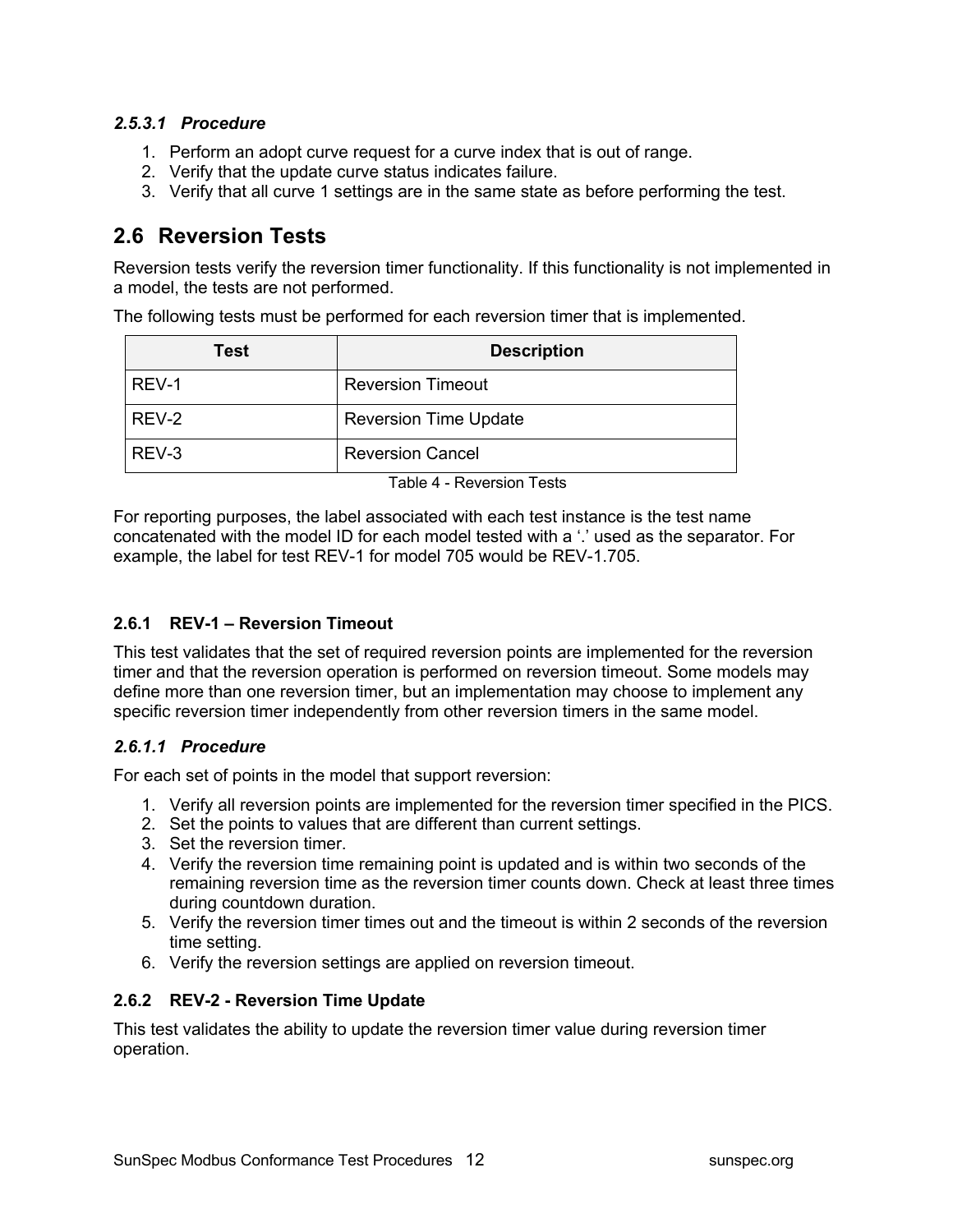#### *2.5.3.1 Procedure*

- 1. Perform an adopt curve request for a curve index that is out of range.
- 2. Verify that the update curve status indicates failure.
- 3. Verify that all curve 1 settings are in the same state as before performing the test.

### **2.6 Reversion Tests**

Reversion tests verify the reversion timer functionality. If this functionality is not implemented in a model, the tests are not performed.

The following tests must be performed for each reversion timer that is implemented.

| Test  | <b>Description</b>           |
|-------|------------------------------|
| REV-1 | <b>Reversion Timeout</b>     |
| REV-2 | <b>Reversion Time Update</b> |
| REV-3 | <b>Reversion Cancel</b>      |

Table 4 - Reversion Tests

For reporting purposes, the label associated with each test instance is the test name concatenated with the model ID for each model tested with a '.' used as the separator. For example, the label for test REV-1 for model 705 would be REV-1.705.

#### **2.6.1 REV-1 – Reversion Timeout**

This test validates that the set of required reversion points are implemented for the reversion timer and that the reversion operation is performed on reversion timeout. Some models may define more than one reversion timer, but an implementation may choose to implement any specific reversion timer independently from other reversion timers in the same model.

#### *2.6.1.1 Procedure*

For each set of points in the model that support reversion:

- 1. Verify all reversion points are implemented for the reversion timer specified in the PICS.
- 2. Set the points to values that are different than current settings.
- 3. Set the reversion timer.
- 4. Verify the reversion time remaining point is updated and is within two seconds of the remaining reversion time as the reversion timer counts down. Check at least three times during countdown duration.
- 5. Verify the reversion timer times out and the timeout is within 2 seconds of the reversion time setting.
- 6. Verify the reversion settings are applied on reversion timeout.

#### **2.6.2 REV-2 - Reversion Time Update**

This test validates the ability to update the reversion timer value during reversion timer operation.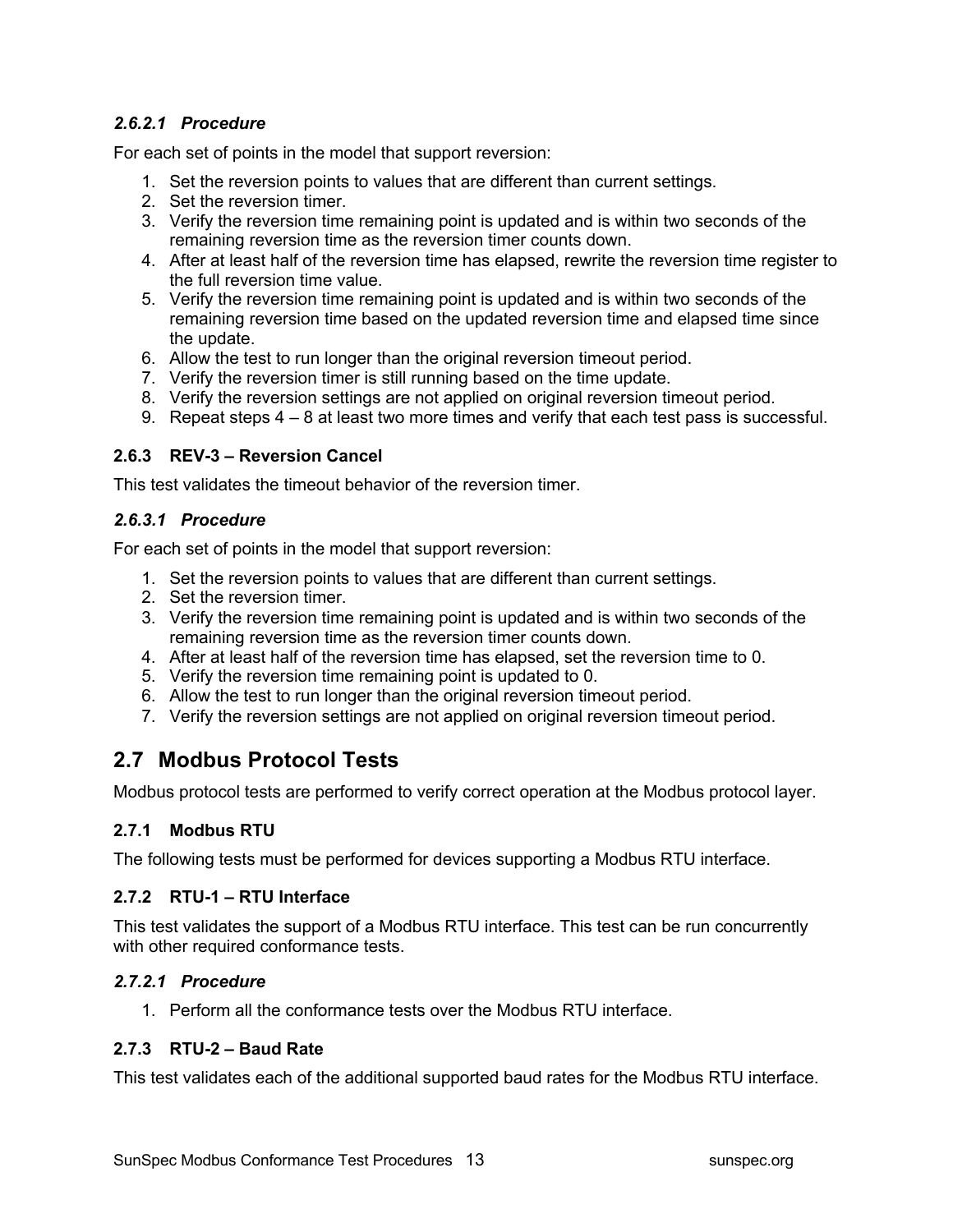#### *2.6.2.1 Procedure*

For each set of points in the model that support reversion:

- 1. Set the reversion points to values that are different than current settings.
- 2. Set the reversion timer.
- 3. Verify the reversion time remaining point is updated and is within two seconds of the remaining reversion time as the reversion timer counts down.
- 4. After at least half of the reversion time has elapsed, rewrite the reversion time register to the full reversion time value.
- 5. Verify the reversion time remaining point is updated and is within two seconds of the remaining reversion time based on the updated reversion time and elapsed time since the update.
- 6. Allow the test to run longer than the original reversion timeout period.
- 7. Verify the reversion timer is still running based on the time update.
- 8. Verify the reversion settings are not applied on original reversion timeout period.
- 9. Repeat steps 4 8 at least two more times and verify that each test pass is successful.

#### **2.6.3 REV-3 – Reversion Cancel**

This test validates the timeout behavior of the reversion timer.

#### *2.6.3.1 Procedure*

For each set of points in the model that support reversion:

- 1. Set the reversion points to values that are different than current settings.
- 2. Set the reversion timer.
- 3. Verify the reversion time remaining point is updated and is within two seconds of the remaining reversion time as the reversion timer counts down.
- 4. After at least half of the reversion time has elapsed, set the reversion time to 0.
- 5. Verify the reversion time remaining point is updated to 0.
- 6. Allow the test to run longer than the original reversion timeout period.
- 7. Verify the reversion settings are not applied on original reversion timeout period.

### **2.7 Modbus Protocol Tests**

Modbus protocol tests are performed to verify correct operation at the Modbus protocol layer.

#### **2.7.1 Modbus RTU**

The following tests must be performed for devices supporting a Modbus RTU interface.

#### **2.7.2 RTU-1 – RTU Interface**

This test validates the support of a Modbus RTU interface. This test can be run concurrently with other required conformance tests.

#### *2.7.2.1 Procedure*

1. Perform all the conformance tests over the Modbus RTU interface.

#### **2.7.3 RTU-2 – Baud Rate**

This test validates each of the additional supported baud rates for the Modbus RTU interface.